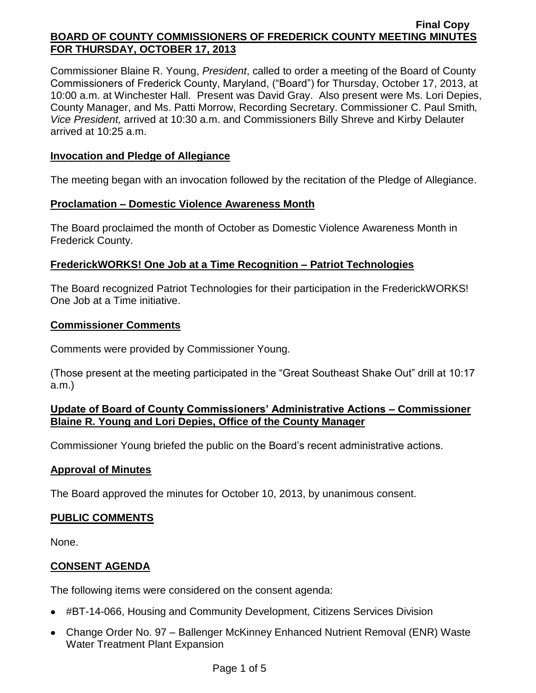Commissioner Blaine R. Young, *President*, called to order a meeting of the Board of County Commissioners of Frederick County, Maryland, ("Board") for Thursday, October 17, 2013, at 10:00 a.m. at Winchester Hall. Present was David Gray. Also present were Ms. Lori Depies, County Manager, and Ms. Patti Morrow, Recording Secretary. Commissioner C. Paul Smith*, Vice President,* arrived at 10:30 a.m. and Commissioners Billy Shreve and Kirby Delauter arrived at 10:25 a.m.

### **Invocation and Pledge of Allegiance**

The meeting began with an invocation followed by the recitation of the Pledge of Allegiance.

### **Proclamation – Domestic Violence Awareness Month**

The Board proclaimed the month of October as Domestic Violence Awareness Month in Frederick County.

## **FrederickWORKS! One Job at a Time Recognition – Patriot Technologies**

The Board recognized Patriot Technologies for their participation in the FrederickWORKS! One Job at a Time initiative.

### **Commissioner Comments**

Comments were provided by Commissioner Young.

(Those present at the meeting participated in the "Great Southeast Shake Out" drill at 10:17 a.m.)

## **Update of Board of County Commissioners' Administrative Actions – Commissioner Blaine R. Young and Lori Depies, Office of the County Manager**

Commissioner Young briefed the public on the Board's recent administrative actions.

### **Approval of Minutes**

The Board approved the minutes for October 10, 2013, by unanimous consent.

### **PUBLIC COMMENTS**

None.

# **CONSENT AGENDA**

The following items were considered on the consent agenda:

- #BT-14-066, Housing and Community Development, Citizens Services Division
- Change Order No. 97 Ballenger McKinney Enhanced Nutrient Removal (ENR) Waste Water Treatment Plant Expansion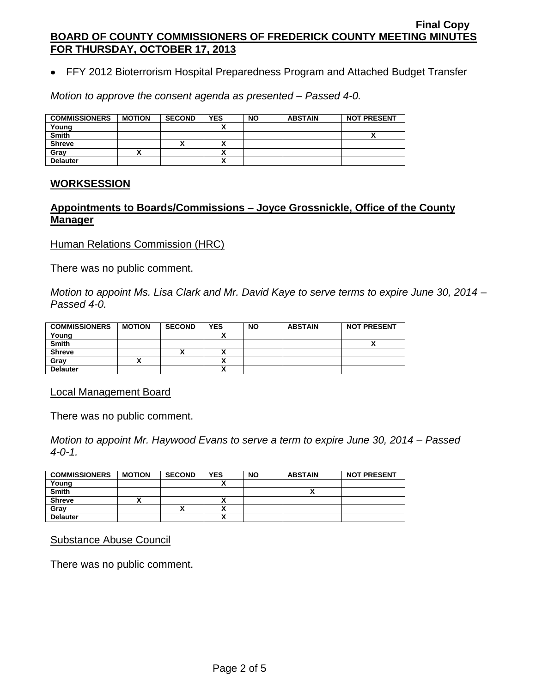FFY 2012 Bioterrorism Hospital Preparedness Program and Attached Budget Transfer

*Motion to approve the consent agenda as presented – Passed 4-0.*

| <b>COMMISSIONERS</b> | <b>MOTION</b> | <b>SECOND</b> | <b>YES</b> | <b>NO</b> | <b>ABSTAIN</b> | <b>NOT PRESENT</b> |
|----------------------|---------------|---------------|------------|-----------|----------------|--------------------|
| Young                |               |               |            |           |                |                    |
| <b>Smith</b>         |               |               |            |           |                | ↗                  |
| <b>Shreve</b>        |               | ́             |            |           |                |                    |
| Grav                 |               |               |            |           |                |                    |
| <b>Delauter</b>      |               |               |            |           |                |                    |

#### **WORKSESSION**

## **Appointments to Boards/Commissions – Joyce Grossnickle, Office of the County Manager**

**Human Relations Commission (HRC)** 

There was no public comment.

*Motion to appoint Ms. Lisa Clark and Mr. David Kaye to serve terms to expire June 30, 2014 – Passed 4-0.*

| <b>COMMISSIONERS</b> | <b>MOTION</b> | <b>SECOND</b>            | <b>YES</b> | <b>NO</b> | <b>ABSTAIN</b> | <b>NOT PRESENT</b> |
|----------------------|---------------|--------------------------|------------|-----------|----------------|--------------------|
| Young                |               |                          |            |           |                |                    |
| <b>Smith</b>         |               |                          |            |           |                |                    |
| <b>Shreve</b>        |               | $\overline{\phantom{a}}$ | ^          |           |                |                    |
| Grav                 |               |                          |            |           |                |                    |
| <b>Delauter</b>      |               |                          | <br>~      |           |                |                    |

#### Local Management Board

There was no public comment.

*Motion to appoint Mr. Haywood Evans to serve a term to expire June 30, 2014 – Passed 4-0-1.*

| <b>COMMISSIONERS</b> | <b>MOTION</b> | <b>SECOND</b> | <b>YES</b>               | <b>NO</b> | <b>ABSTAIN</b> | <b>NOT PRESENT</b> |
|----------------------|---------------|---------------|--------------------------|-----------|----------------|--------------------|
| Young                |               |               |                          |           |                |                    |
| <b>Smith</b>         |               |               |                          |           |                |                    |
| <b>Shreve</b>        |               |               | Λ                        |           |                |                    |
| Grav                 |               |               | v                        |           |                |                    |
| <b>Delauter</b>      |               |               | $\overline{\phantom{a}}$ |           |                |                    |

#### Substance Abuse Council

There was no public comment.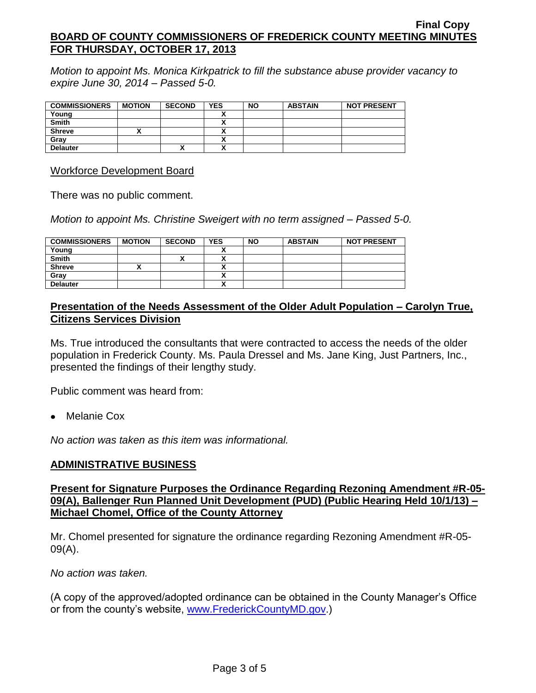*Motion to appoint Ms. Monica Kirkpatrick to fill the substance abuse provider vacancy to expire June 30, 2014 – Passed 5-0.*

| <b>COMMISSIONERS</b> | <b>MOTION</b> | <b>SECOND</b> | <b>YES</b>                    | <b>NO</b> | <b>ABSTAIN</b> | <b>NOT PRESENT</b> |
|----------------------|---------------|---------------|-------------------------------|-----------|----------------|--------------------|
| Young                |               |               |                               |           |                |                    |
| <b>Smith</b>         |               |               | ^                             |           |                |                    |
| <b>Shreve</b>        |               |               | ^                             |           |                |                    |
| Gray                 |               |               | Λ                             |           |                |                    |
| <b>Delauter</b>      |               | ↗             | $\overline{\phantom{a}}$<br>Δ |           |                |                    |

Workforce Development Board

There was no public comment.

*Motion to appoint Ms. Christine Sweigert with no term assigned – Passed 5-0.*

| <b>COMMISSIONERS</b> | <b>MOTION</b> | <b>SECOND</b> | <b>YES</b> | <b>NO</b> | <b>ABSTAIN</b> | <b>NOT PRESENT</b> |
|----------------------|---------------|---------------|------------|-----------|----------------|--------------------|
| Young                |               |               |            |           |                |                    |
| <b>Smith</b>         |               |               | ٠.         |           |                |                    |
| <b>Shreve</b>        |               |               |            |           |                |                    |
| Grav                 |               |               |            |           |                |                    |
| <b>Delauter</b>      |               |               | ٠.<br>Λ    |           |                |                    |

### **Presentation of the Needs Assessment of the Older Adult Population – Carolyn True, Citizens Services Division**

Ms. True introduced the consultants that were contracted to access the needs of the older population in Frederick County. Ms. Paula Dressel and Ms. Jane King, Just Partners, Inc., presented the findings of their lengthy study.

Public comment was heard from:

Melanie Cox

*No action was taken as this item was informational.*

### **ADMINISTRATIVE BUSINESS**

### **Present for Signature Purposes the Ordinance Regarding Rezoning Amendment #R-05- 09(A), Ballenger Run Planned Unit Development (PUD) (Public Hearing Held 10/1/13) – Michael Chomel, Office of the County Attorney**

Mr. Chomel presented for signature the ordinance regarding Rezoning Amendment #R-05- 09(A).

*No action was taken.*

(A copy of the approved/adopted ordinance can be obtained in the County Manager's Office or from the county's website, [www.FrederickCountyMD.gov.](http://www.frederickcountymd.gov/))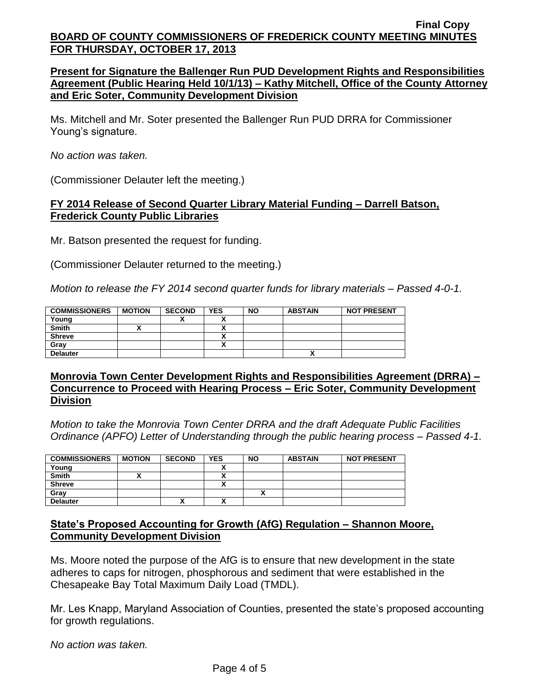### **Present for Signature the Ballenger Run PUD Development Rights and Responsibilities Agreement (Public Hearing Held 10/1/13) – Kathy Mitchell, Office of the County Attorney and Eric Soter, Community Development Division**

Ms. Mitchell and Mr. Soter presented the Ballenger Run PUD DRRA for Commissioner Young's signature.

*No action was taken.*

(Commissioner Delauter left the meeting.)

#### **FY 2014 Release of Second Quarter Library Material Funding – Darrell Batson, Frederick County Public Libraries**

Mr. Batson presented the request for funding.

(Commissioner Delauter returned to the meeting.)

*Motion to release the FY 2014 second quarter funds for library materials – Passed 4-0-1.*

| <b>COMMISSIONERS</b> | <b>MOTION</b> | <b>SECOND</b> | <b>YES</b> | <b>NO</b> | <b>ABSTAIN</b> | <b>NOT PRESENT</b> |
|----------------------|---------------|---------------|------------|-----------|----------------|--------------------|
| Young                |               |               |            |           |                |                    |
| <b>Smith</b>         |               |               |            |           |                |                    |
| <b>Shreve</b>        |               |               |            |           |                |                    |
| Gray                 |               |               |            |           |                |                    |
| <b>Delauter</b>      |               |               |            |           |                |                    |

#### **Monrovia Town Center Development Rights and Responsibilities Agreement (DRRA) – Concurrence to Proceed with Hearing Process – Eric Soter, Community Development Division**

*Motion to take the Monrovia Town Center DRRA and the draft Adequate Public Facilities Ordinance (APFO) Letter of Understanding through the public hearing process – Passed 4-1.*

| <b>COMMISSIONERS</b> | <b>MOTION</b> | <b>SECOND</b> | <b>YES</b> | <b>NO</b> | <b>ABSTAIN</b> | <b>NOT PRESENT</b> |
|----------------------|---------------|---------------|------------|-----------|----------------|--------------------|
| Young                |               |               |            |           |                |                    |
| <b>Smith</b>         |               |               |            |           |                |                    |
| <b>Shreve</b>        |               |               |            |           |                |                    |
| Grav                 |               |               |            |           |                |                    |
| <b>Delauter</b>      |               | Λ             | ↗          |           |                |                    |

### **State's Proposed Accounting for Growth (AfG) Regulation – Shannon Moore, Community Development Division**

Ms. Moore noted the purpose of the AfG is to ensure that new development in the state adheres to caps for nitrogen, phosphorous and sediment that were established in the Chesapeake Bay Total Maximum Daily Load (TMDL).

Mr. Les Knapp, Maryland Association of Counties, presented the state's proposed accounting for growth regulations.

*No action was taken.*